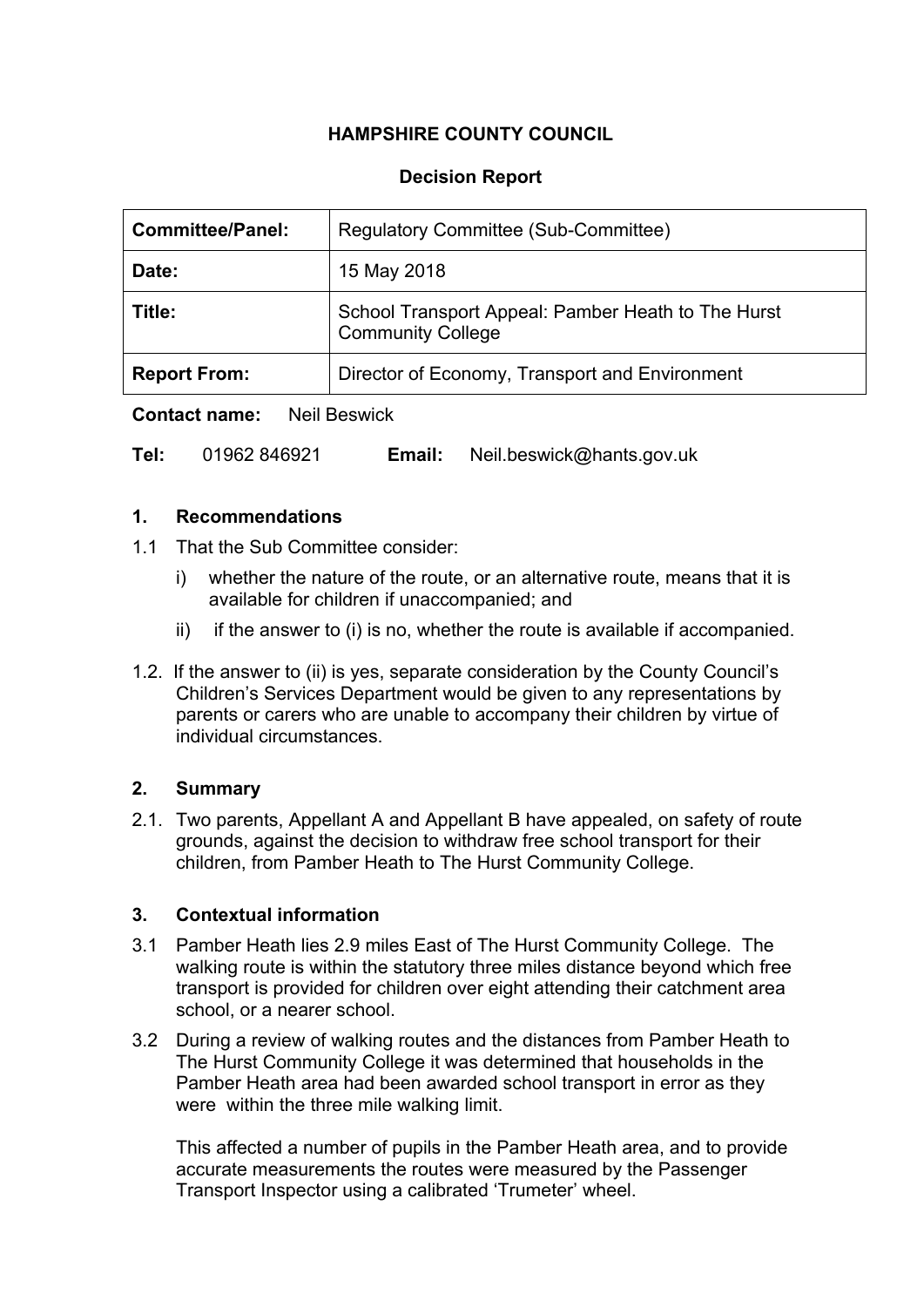## **HAMPSHIRE COUNTY COUNCIL**

## **Decision Report**

| <b>Committee/Panel:</b> | Regulatory Committee (Sub-Committee)                                           |  |
|-------------------------|--------------------------------------------------------------------------------|--|
| Date:                   | 15 May 2018                                                                    |  |
| Title:                  | School Transport Appeal: Pamber Heath to The Hurst<br><b>Community College</b> |  |
| <b>Report From:</b>     | Director of Economy, Transport and Environment                                 |  |

**Contact name:** Neil Beswick

| Tel: | 01962 846921 | Email: | Neil.beswick@hants.gov.uk |
|------|--------------|--------|---------------------------|
|------|--------------|--------|---------------------------|

### **1. Recommendations**

- 1.1 That the Sub Committee consider:
	- i) whether the nature of the route, or an alternative route, means that it is available for children if unaccompanied; and
	- ii) if the answer to (i) is no, whether the route is available if accompanied.
- 1.2. If the answer to (ii) is yes, separate consideration by the County Council's Children's Services Department would be given to any representations by parents or carers who are unable to accompany their children by virtue of individual circumstances.

### **2. Summary**

2.1. Two parents, Appellant A and Appellant B have appealed, on safety of route grounds, against the decision to withdraw free school transport for their children, from Pamber Heath to The Hurst Community College.

### **3. Contextual information**

- 3.1 Pamber Heath lies 2.9 miles East of The Hurst Community College. The walking route is within the statutory three miles distance beyond which free transport is provided for children over eight attending their catchment area school, or a nearer school.
- 3.2 During a review of walking routes and the distances from Pamber Heath to The Hurst Community College it was determined that households in the Pamber Heath area had been awarded school transport in error as they were within the three mile walking limit.

This affected a number of pupils in the Pamber Heath area, and to provide accurate measurements the routes were measured by the Passenger Transport Inspector using a calibrated 'Trumeter' wheel.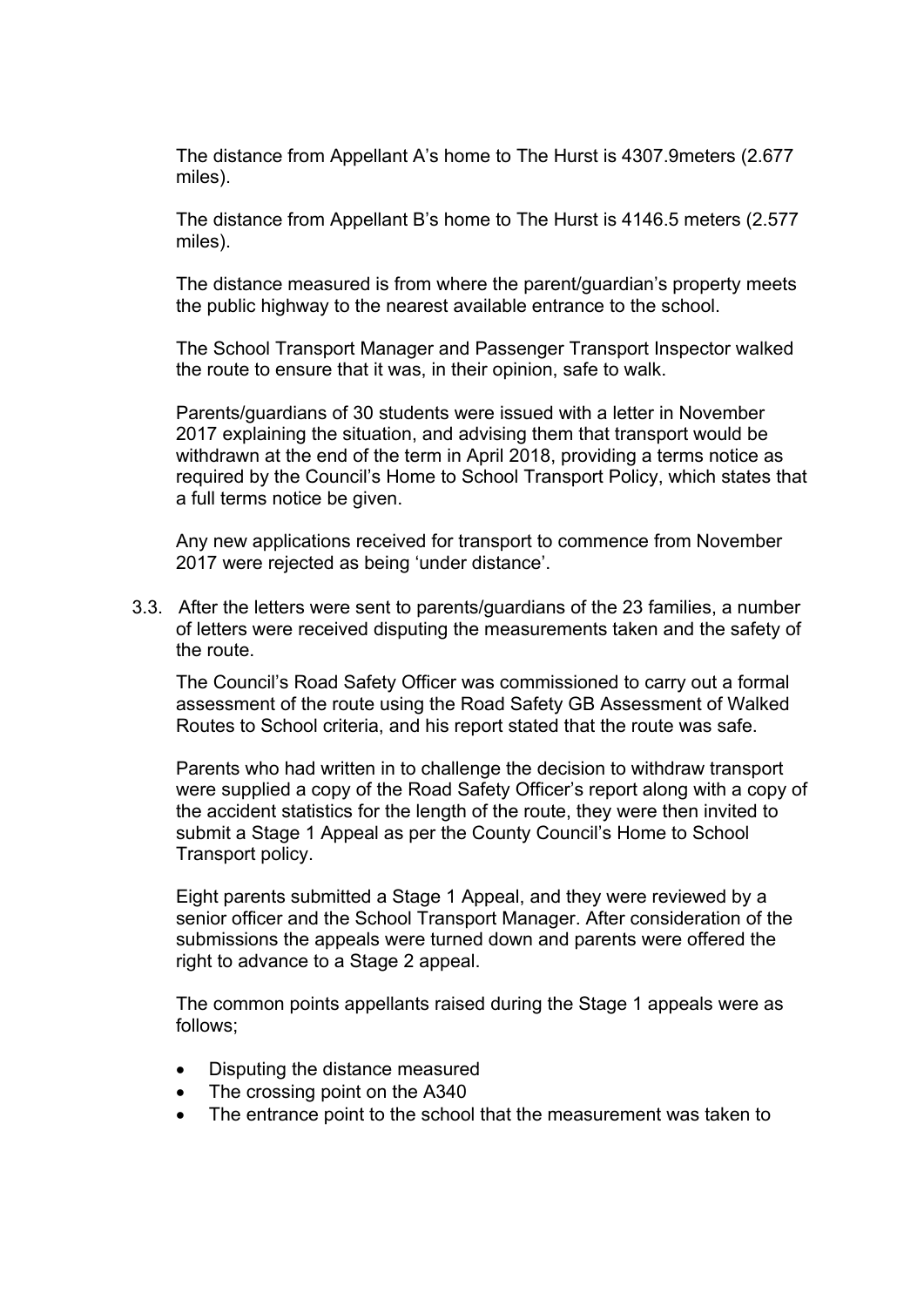The distance from Appellant A's home to The Hurst is 4307.9meters (2.677 miles).

The distance from Appellant B's home to The Hurst is 4146.5 meters (2.577 miles).

The distance measured is from where the parent/guardian's property meets the public highway to the nearest available entrance to the school.

The School Transport Manager and Passenger Transport Inspector walked the route to ensure that it was, in their opinion, safe to walk.

Parents/guardians of 30 students were issued with a letter in November 2017 explaining the situation, and advising them that transport would be withdrawn at the end of the term in April 2018, providing a terms notice as required by the Council's Home to School Transport Policy, which states that a full terms notice be given.

Any new applications received for transport to commence from November 2017 were rejected as being 'under distance'.

3.3. After the letters were sent to parents/guardians of the 23 families, a number of letters were received disputing the measurements taken and the safety of the route.

The Council's Road Safety Officer was commissioned to carry out a formal assessment of the route using the Road Safety GB Assessment of Walked Routes to School criteria, and his report stated that the route was safe.

Parents who had written in to challenge the decision to withdraw transport were supplied a copy of the Road Safety Officer's report along with a copy of the accident statistics for the length of the route, they were then invited to submit a Stage 1 Appeal as per the County Council's Home to School Transport policy.

Eight parents submitted a Stage 1 Appeal, and they were reviewed by a senior officer and the School Transport Manager. After consideration of the submissions the appeals were turned down and parents were offered the right to advance to a Stage 2 appeal.

The common points appellants raised during the Stage 1 appeals were as follows;

- Disputing the distance measured
- The crossing point on the A340
- The entrance point to the school that the measurement was taken to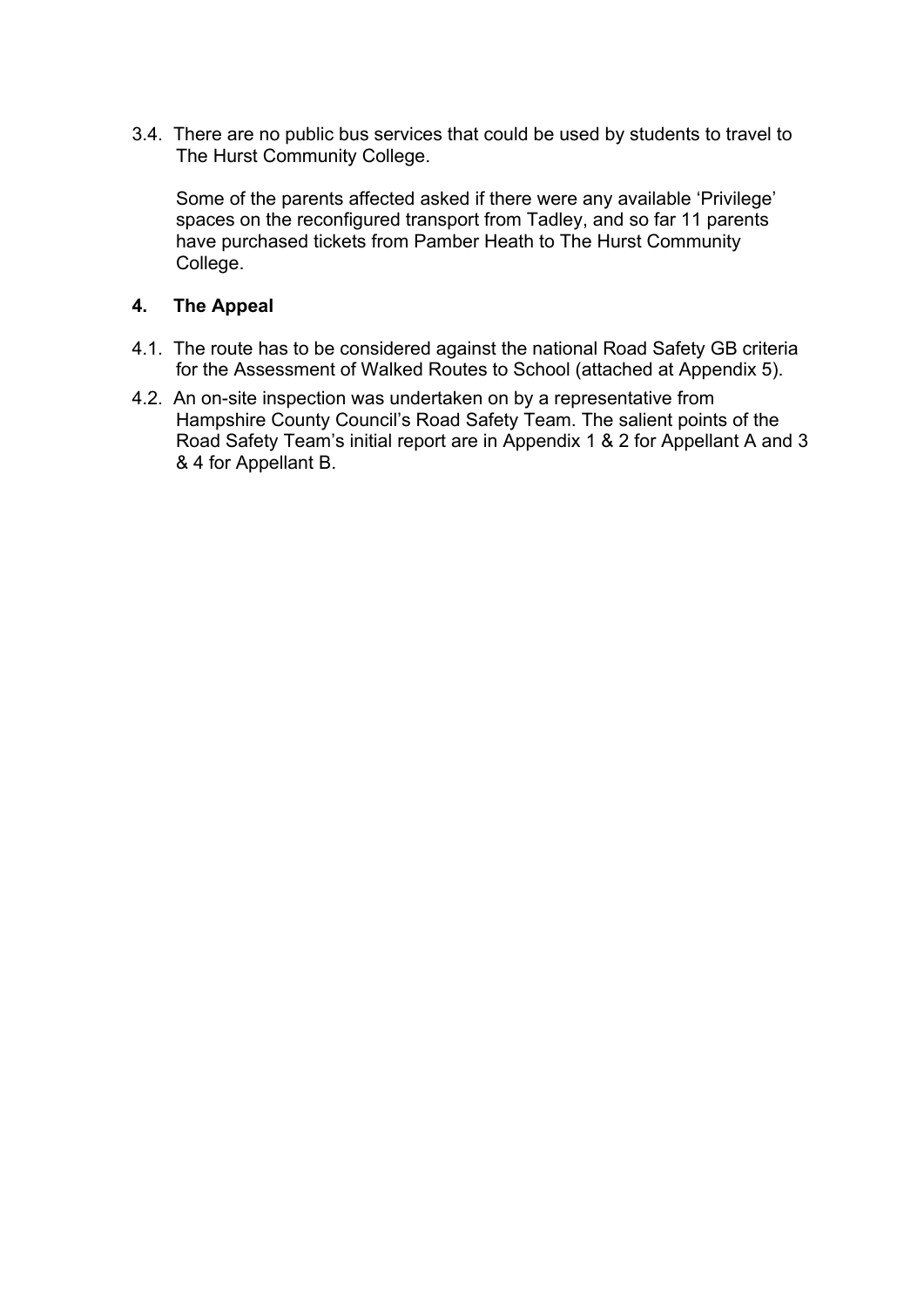3.4. There are no public bus services that could be used by students to travel to The Hurst Community College.

Some of the parents affected asked if there were any available 'Privilege' spaces on the reconfigured transport from Tadley, and so far 11 parents have purchased tickets from Pamber Heath to The Hurst Community College.

### **4. The Appeal**

- 4.1. The route has to be considered against the national Road Safety GB criteria for the Assessment of Walked Routes to School (attached at Appendix 5).
- 4.2. An on-site inspection was undertaken on by a representative from Hampshire County Council's Road Safety Team. The salient points of the Road Safety Team's initial report are in Appendix 1 & 2 for Appellant A and 3 & 4 for Appellant B.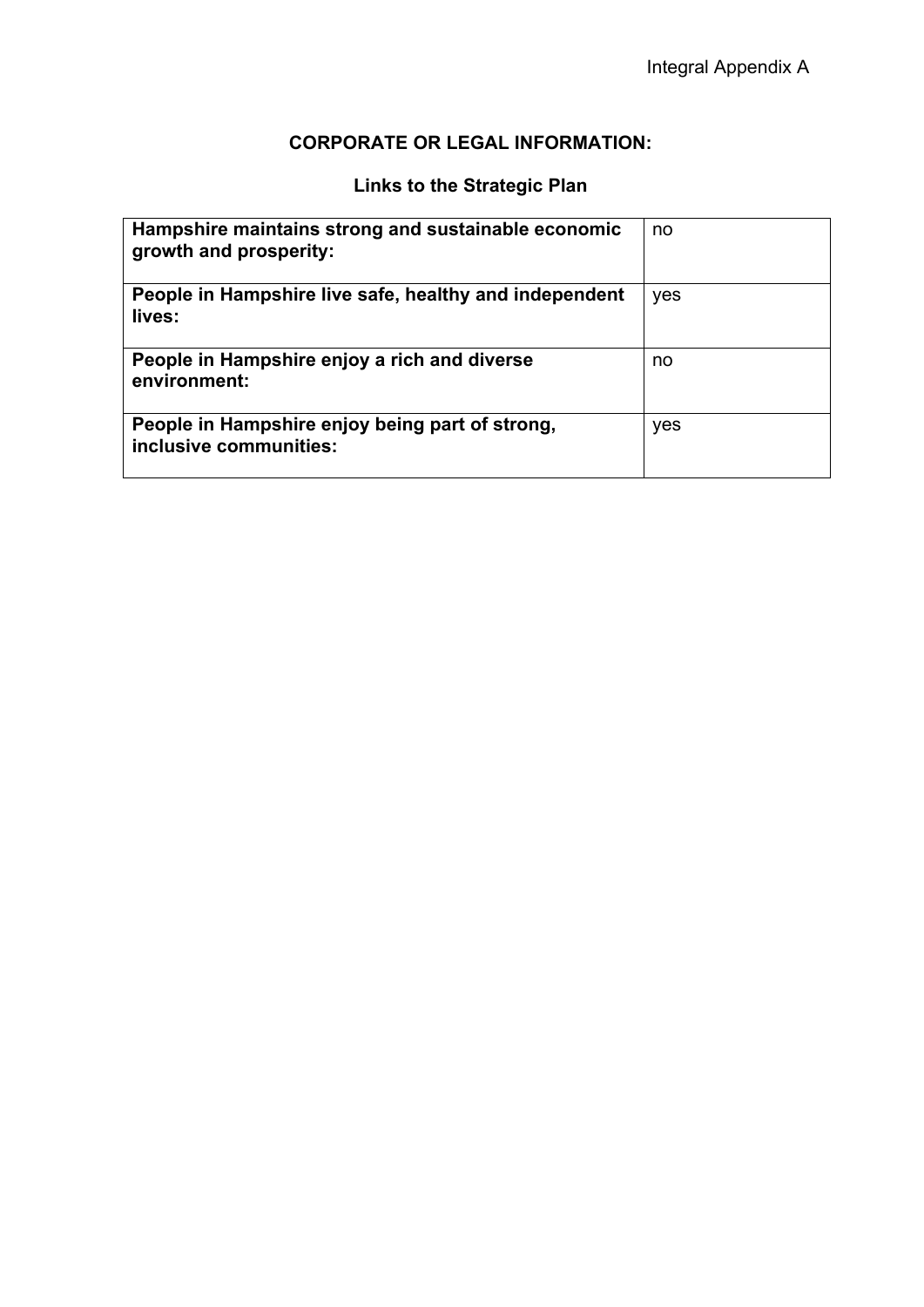## **CORPORATE OR LEGAL INFORMATION:**

# **Links to the Strategic Plan**

| Hampshire maintains strong and sustainable economic<br>growth and prosperity: | no  |
|-------------------------------------------------------------------------------|-----|
| People in Hampshire live safe, healthy and independent<br>lives:              | yes |
| People in Hampshire enjoy a rich and diverse<br>environment:                  | no  |
| People in Hampshire enjoy being part of strong,<br>inclusive communities:     | yes |